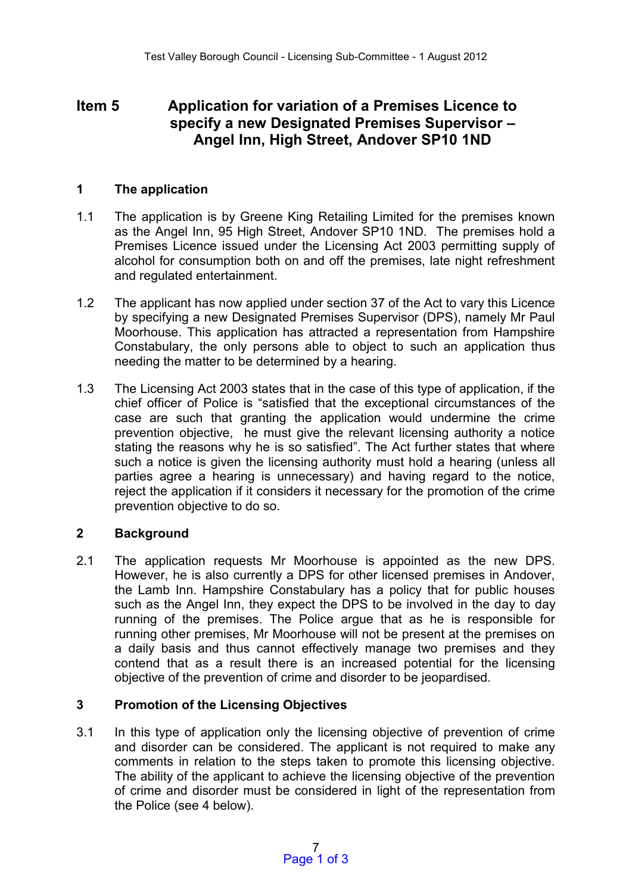# **Item 5 Application for variation of a Premises Licence to specify a new Designated Premises Supervisor – Angel Inn, High Street, Andover SP10 1ND**

## **1 The application**

- 1.1 The application is by Greene King Retailing Limited for the premises known as the Angel Inn, 95 High Street, Andover SP10 1ND. The premises hold a Premises Licence issued under the Licensing Act 2003 permitting supply of alcohol for consumption both on and off the premises, late night refreshment and regulated entertainment.
- 1.2 The applicant has now applied under section 37 of the Act to vary this Licence by specifying a new Designated Premises Supervisor (DPS), namely Mr Paul Moorhouse. This application has attracted a representation from Hampshire Constabulary, the only persons able to object to such an application thus needing the matter to be determined by a hearing.
- 1.3 The Licensing Act 2003 states that in the case of this type of application, if the chief officer of Police is "satisfied that the exceptional circumstances of the case are such that granting the application would undermine the crime prevention objective, he must give the relevant licensing authority a notice stating the reasons why he is so satisfied". The Act further states that where such a notice is given the licensing authority must hold a hearing (unless all parties agree a hearing is unnecessary) and having regard to the notice, reject the application if it considers it necessary for the promotion of the crime prevention objective to do so.

## **2 Background**

2.1 The application requests Mr Moorhouse is appointed as the new DPS. However, he is also currently a DPS for other licensed premises in Andover, the Lamb Inn. Hampshire Constabulary has a policy that for public houses such as the Angel Inn, they expect the DPS to be involved in the day to day running of the premises. The Police argue that as he is responsible for running other premises, Mr Moorhouse will not be present at the premises on a daily basis and thus cannot effectively manage two premises and they contend that as a result there is an increased potential for the licensing objective of the prevention of crime and disorder to be jeopardised.

## **3 Promotion of the Licensing Objectives**

3.1 In this type of application only the licensing objective of prevention of crime and disorder can be considered. The applicant is not required to make any comments in relation to the steps taken to promote this licensing objective. The ability of the applicant to achieve the licensing objective of the prevention of crime and disorder must be considered in light of the representation from the Police (see 4 below).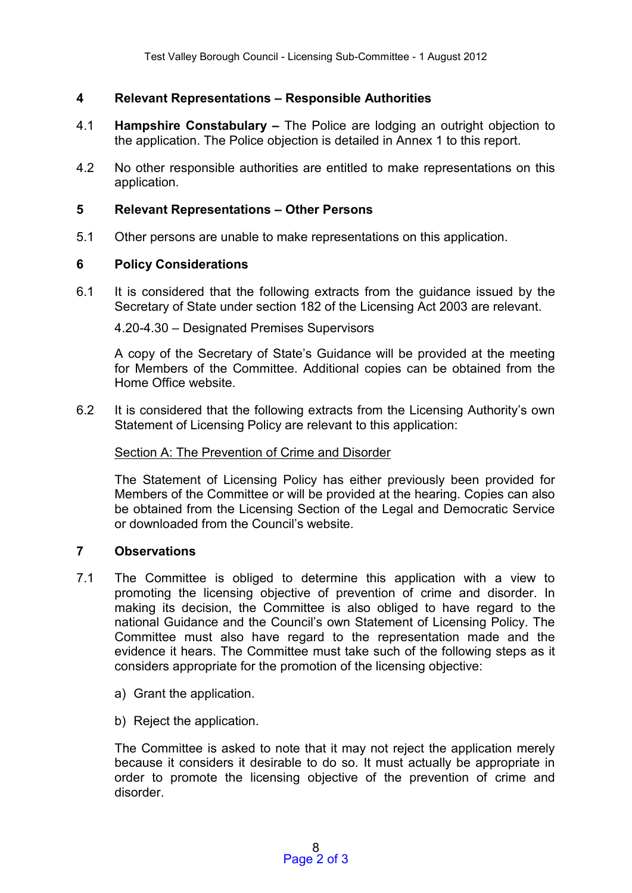## **4 Relevant Representations – Responsible Authorities**

- 4.1 **Hampshire Constabulary –** The Police are lodging an outright objection to the application. The Police objection is detailed in Annex 1 to this report.
- 4.2 No other responsible authorities are entitled to make representations on this application.

## **5 Relevant Representations – Other Persons**

5.1 Other persons are unable to make representations on this application.

## **6 Policy Considerations**

6.1 It is considered that the following extracts from the guidance issued by the Secretary of State under section 182 of the Licensing Act 2003 are relevant.

4.20-4.30 – Designated Premises Supervisors

A copy of the Secretary of State's Guidance will be provided at the meeting for Members of the Committee. Additional copies can be obtained from the Home Office website.

6.2 It is considered that the following extracts from the Licensing Authority's own Statement of Licensing Policy are relevant to this application:

## Section A: The Prevention of Crime and Disorder

The Statement of Licensing Policy has either previously been provided for Members of the Committee or will be provided at the hearing. Copies can also be obtained from the Licensing Section of the Legal and Democratic Service or downloaded from the Council's website.

## **7 Observations**

- 7.1 The Committee is obliged to determine this application with a view to promoting the licensing objective of prevention of crime and disorder. In making its decision, the Committee is also obliged to have regard to the national Guidance and the Council's own Statement of Licensing Policy. The Committee must also have regard to the representation made and the evidence it hears. The Committee must take such of the following steps as it considers appropriate for the promotion of the licensing objective:
	- a) Grant the application.
	- b) Reject the application.

The Committee is asked to note that it may not reject the application merely because it considers it desirable to do so. It must actually be appropriate in order to promote the licensing objective of the prevention of crime and disorder.